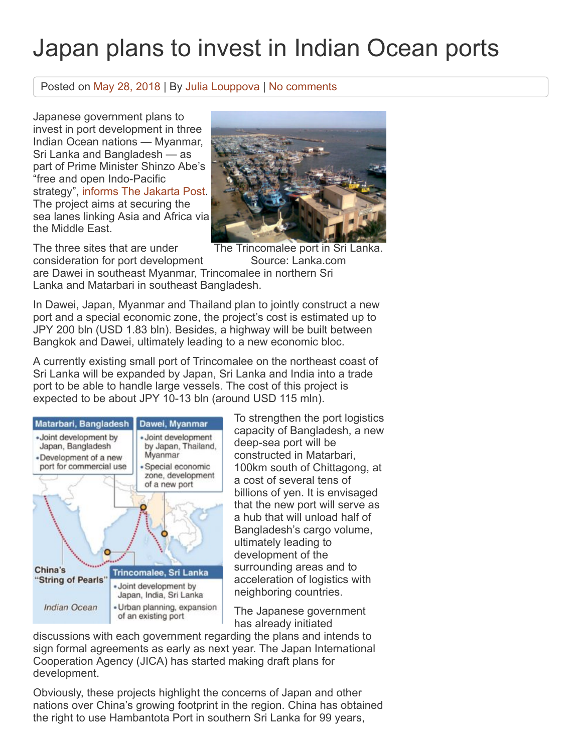## Japan plans to invest in Indian Ocean ports

## Posted on [May 28, 2018](https://port.today/japan-plans-invest-indian-ocean-ports/) | By [Julia Louppova](https://port.today/author/jlo/) | [No comments](https://port.today/japan-plans-invest-indian-ocean-ports/#respond)

Japanese government plans to invest in port development in three Indian Ocean nations — Myanmar, Sri Lanka and Bangladesh — as part of Prime Minister Shinzo Abe's "free and open Indo-Pacific strategy", [informs The Jakarta Post](http://www.thejakartapost.com/news/2018/05/25/japan-to-offer-aid-for-indian-ocean-ports.html). The project aims at securing the sea lanes linking Asia and Africa via the Middle East.

The three sites that are under

The Trincomalee port in Sri Lanka.

Source: Lanka.com consideration for port development are Dawei in southeast Myanmar, Trincomalee in northern Sri Lanka and Matarbari in southeast Bangladesh.

In Dawei, Japan, Myanmar and Thailand plan to jointly construct a new port and a special economic zone, the project's cost is estimated up to JPY 200 bln (USD 1.83 bln). Besides, a highway will be built between Bangkok and Dawei, ultimately leading to a new economic bloc.

A currently existing small port of Trincomalee on the northeast coast of Sri Lanka will be expanded by Japan, Sri Lanka and India into a trade port to be able to handle large vessels. The cost of this project is expected to be about JPY 10-13 bln (around USD 115 mln).



To strengthen the port logistics capacity of Bangladesh, a new deep-sea port will be constructed in Matarbari, 100km south of Chittagong, at a cost of several tens of billions of yen. It is envisaged that the new port will serve as a hub that will unload half of Bangladesh's cargo volume, ultimately leading to development of the surrounding areas and to acceleration of logistics with neighboring countries.

The Japanese government has already initiated

discussions with each government regarding the plans and intends to sign formal agreements as early as next year. The Japan International Cooperation Agency (JICA) has started making draft plans for development.

Obviously, these projects highlight the concerns of Japan and other nations over China's growing footprint in the region. China has obtained the right to use Hambantota Port in southern Sri Lanka for 99 years,